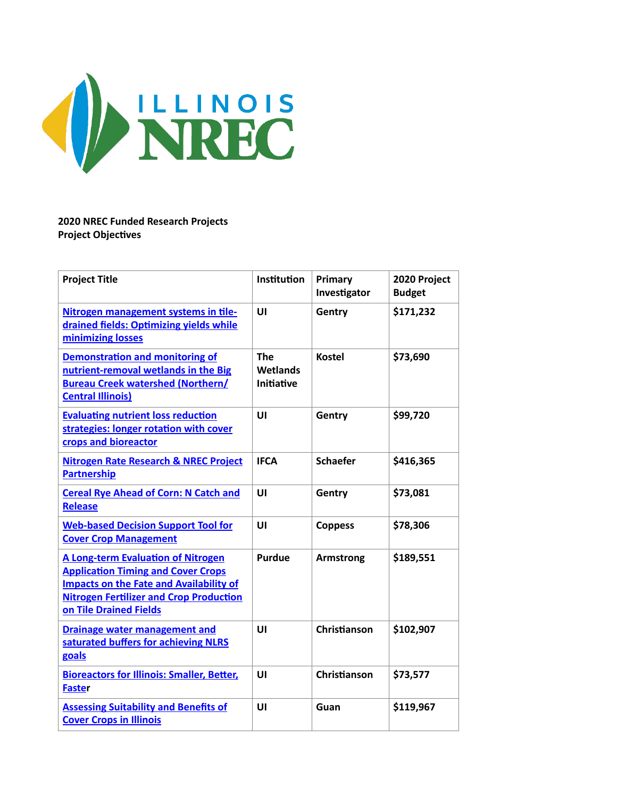

### **2020 NREC Funded Research Projects Project Objectives**

| <b>Project Title</b>                                                                                                                                                                                                 | Institution                                 | Primary<br>Investigator | 2020 Project<br><b>Budget</b> |
|----------------------------------------------------------------------------------------------------------------------------------------------------------------------------------------------------------------------|---------------------------------------------|-------------------------|-------------------------------|
| Nitrogen management systems in tile-<br>drained fields: Optimizing yields while<br>minimizing losses                                                                                                                 | UI                                          | Gentry                  | \$171,232                     |
| <b>Demonstration and monitoring of</b><br>nutrient-removal wetlands in the Big<br><b>Bureau Creek watershed (Northern/</b><br><b>Central Illinois)</b>                                                               | <b>The</b><br>Wetlands<br><b>Initiative</b> | <b>Kostel</b>           | \$73,690                      |
| <b>Evaluating nutrient loss reduction</b><br>strategies: longer rotation with cover<br>crops and bioreactor                                                                                                          | $\mathbf{U}$                                | Gentry                  | \$99,720                      |
| <b>Nitrogen Rate Research &amp; NREC Project</b><br><b>Partnership</b>                                                                                                                                               | <b>IFCA</b>                                 | <b>Schaefer</b>         | \$416,365                     |
| <b>Cereal Rye Ahead of Corn: N Catch and</b><br><b>Release</b>                                                                                                                                                       | UI                                          | Gentry                  | \$73,081                      |
| <b>Web-based Decision Support Tool for</b><br><b>Cover Crop Management</b>                                                                                                                                           | UI                                          | <b>Coppess</b>          | \$78,306                      |
| <b>A Long-term Evaluation of Nitrogen</b><br><b>Application Timing and Cover Crops</b><br><b>Impacts on the Fate and Availability of</b><br><b>Nitrogen Fertilizer and Crop Production</b><br>on Tile Drained Fields | <b>Purdue</b>                               | <b>Armstrong</b>        | \$189,551                     |
| <b>Drainage water management and</b><br>saturated buffers for achieving NLRS<br>goals                                                                                                                                | UI                                          | Christianson            | \$102,907                     |
| <b>Bioreactors for Illinois: Smaller, Better,</b><br><b>Faster</b>                                                                                                                                                   | UI                                          | Christianson            | \$73,577                      |
| <b>Assessing Suitability and Benefits of</b><br><b>Cover Crops in Illinois</b>                                                                                                                                       | UI                                          | Guan                    | \$119,967                     |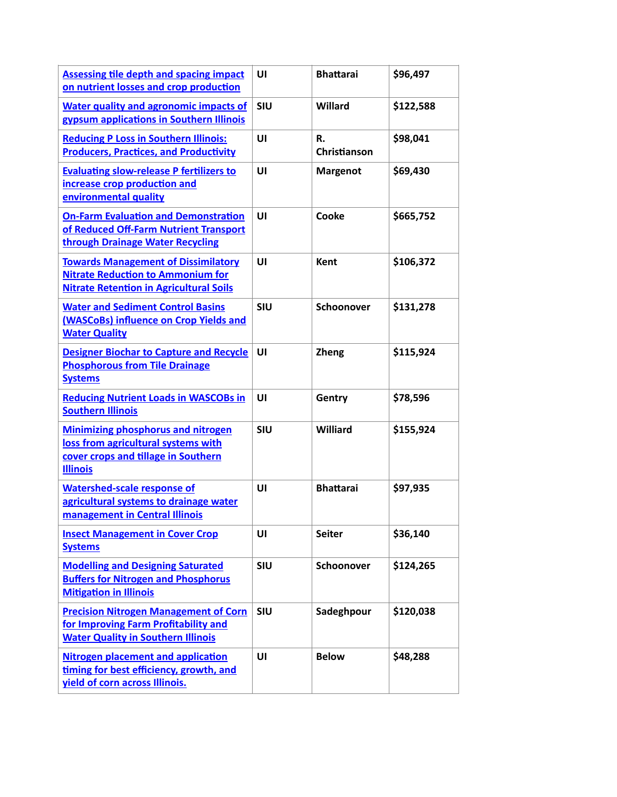| <b>Assessing tile depth and spacing impact</b><br>on nutrient losses and crop production                                                   | UI         | <b>Bhattarai</b>   | \$96,497  |
|--------------------------------------------------------------------------------------------------------------------------------------------|------------|--------------------|-----------|
| <b>Water quality and agronomic impacts of</b><br>gypsum applications in Southern Illinois                                                  | SIU        | Willard            | \$122,588 |
| <b>Reducing P Loss in Southern Illinois:</b><br><b>Producers, Practices, and Productivity</b>                                              | UI         | R.<br>Christianson | \$98,041  |
| <b>Evaluating slow-release P fertilizers to</b><br>increase crop production and<br>environmental quality                                   | UI         | <b>Margenot</b>    | \$69,430  |
| <b>On-Farm Evaluation and Demonstration</b><br>of Reduced Off-Farm Nutrient Transport<br>through Drainage Water Recycling                  | UI         | Cooke              | \$665,752 |
| <b>Towards Management of Dissimilatory</b><br><b>Nitrate Reduction to Ammonium for</b><br><b>Nitrate Retention in Agricultural Soils</b>   | UI         | <b>Kent</b>        | \$106,372 |
| <b>Water and Sediment Control Basins</b><br>(WASCoBs) influence on Crop Yields and<br><b>Water Quality</b>                                 | <b>SIU</b> | Schoonover         | \$131,278 |
| <b>Designer Biochar to Capture and Recycle</b><br><b>Phosphorous from Tile Drainage</b><br><b>Systems</b>                                  | UI         | <b>Zheng</b>       | \$115,924 |
| <b>Reducing Nutrient Loads in WASCOBs in</b><br><b>Southern Illinois</b>                                                                   | UI         | Gentry             | \$78,596  |
| <b>Minimizing phosphorus and nitrogen</b><br>loss from agricultural systems with<br>cover crops and tillage in Southern<br><b>Illinois</b> | <b>SIU</b> | Williard           | \$155,924 |
| <b>Watershed-scale response of</b><br>agricultural systems to drainage water<br>management in Central Illinois                             | UI         | <b>Bhattarai</b>   | \$97,935  |
| <b>Insect Management in Cover Crop</b><br><b>Systems</b>                                                                                   | UI         | <b>Seiter</b>      | \$36,140  |
| <b>Modelling and Designing Saturated</b><br><b>Buffers for Nitrogen and Phosphorus</b><br><b>Mitigation in Illinois</b>                    | <b>SIU</b> | Schoonover         | \$124,265 |
| <b>Precision Nitrogen Management of Corn</b><br>for Improving Farm Profitability and<br><b>Water Quality in Southern Illinois</b>          | SIU        | Sadeghpour         | \$120,038 |
| <b>Nitrogen placement and application</b><br>timing for best efficiency, growth, and<br><b>yield of corn across Illinois.</b>              | UI         | <b>Below</b>       | \$48,288  |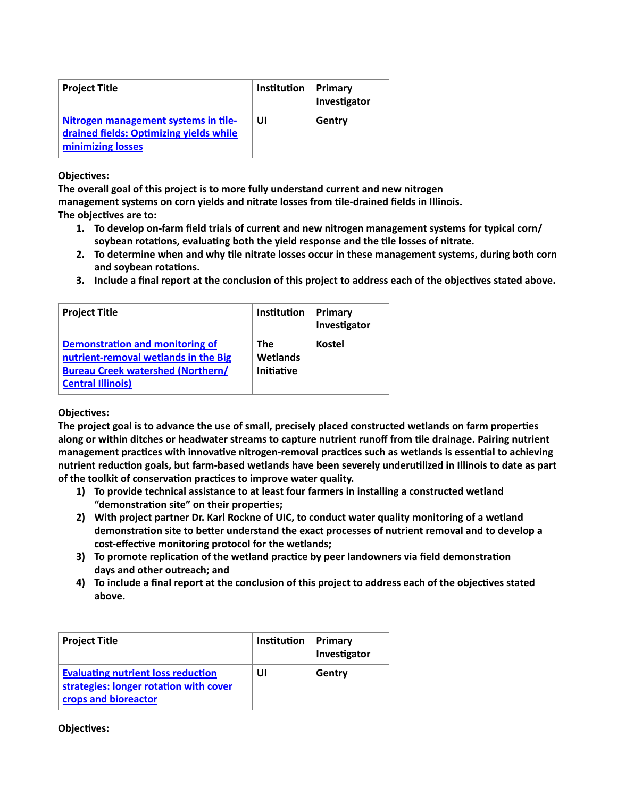| <b>Project Title</b>                                                                                 | Institution | Primary<br>Investigator |
|------------------------------------------------------------------------------------------------------|-------------|-------------------------|
| Nitrogen management systems in tile-<br>drained fields: Optimizing yields while<br>minimizing losses | UI          | Gentry                  |

**The overall goal of this project is to more fully understand current and new nitrogen management systems on corn yields and nitrate losses from tile-drained fields in Illinois.**

**The objectives are to:**

- **1. To develop on-farm field trials of current and new nitrogen management systems for typical corn/ soybean rotations, evaluating both the yield response and the tile losses of nitrate.**
- **2. To determine when and why tile nitrate losses occur in these management systems, during both corn and soybean rotations.**
- **3. Include a final report at the conclusion of this project to address each of the objectives stated above.**

| <b>Project Title</b>                                                                                                                            | Institution                          | Primary<br>Investigator |
|-------------------------------------------------------------------------------------------------------------------------------------------------|--------------------------------------|-------------------------|
| Demonstration and monitoring of<br>nutrient-removal wetlands in the Big<br><b>Bureau Creek watershed (Northern/</b><br><b>Central Illinois)</b> | <b>The</b><br>Wetlands<br>Initiative | <b>Kostel</b>           |

### **Objectives:**

**The project goal is to advance the use of small, precisely placed constructed wetlands on farm properties along or within ditches or headwater streams to capture nutrient runoff from tile drainage. Pairing nutrient management practices with innovative nitrogen-removal practices such as wetlands is essential to achieving nutrient reduction goals, but farm-based wetlands have been severely underutilized in Illinois to date as part of the toolkit of conservation practices to improve water quality.**

- **1) To provide technical assistance to at least four farmers in installing a constructed wetland "demonstration site" on their properties;**
- **2) With project partner Dr. Karl Rockne of UIC, to conduct water quality monitoring of a wetland demonstration site to better understand the exact processes of nutrient removal and to develop a cost-effective monitoring protocol for the wetlands;**
- **3) To promote replication of the wetland practice by peer landowners via field demonstration days and other outreach; and**
- **4) To include a final report at the conclusion of this project to address each of the objectives stated above.**

| <b>Project Title</b>                                                                                        | Institution | Primary<br>Investigator |
|-------------------------------------------------------------------------------------------------------------|-------------|-------------------------|
| <b>Evaluating nutrient loss reduction</b><br>strategies: longer rotation with cover<br>crops and bioreactor | UI          | Gentry                  |

# **Objectives:**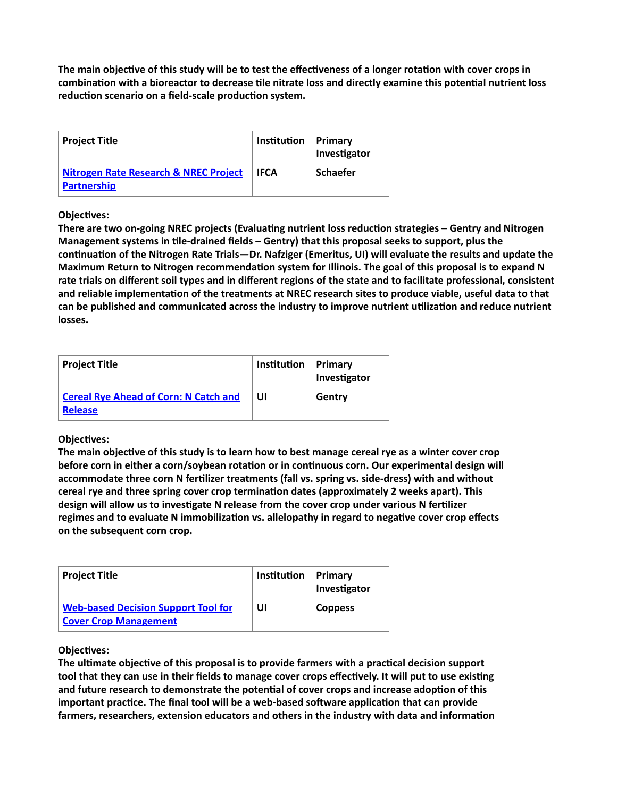**The main objective of this study will be to test the effectiveness of a longer rotation with cover crops in combination with a bioreactor to decrease tile nitrate loss and directly examine this potential nutrient loss reduction scenario on a field-scale production system.**

| <b>Project Title</b>                                                   | Institution | Primary<br>Investigator |
|------------------------------------------------------------------------|-------------|-------------------------|
| <b>Nitrogen Rate Research &amp; NREC Project</b><br><b>Partnership</b> | <b>IFCA</b> | <b>Schaefer</b>         |

### **Objectives:**

**There are two on-going NREC projects (Evaluating nutrient loss reduction strategies – Gentry and Nitrogen Management systems in tile-drained fields – Gentry) that this proposal seeks to support, plus the continuation of the Nitrogen Rate Trials—Dr. Nafziger (Emeritus, UI) will evaluate the results and update the Maximum Return to Nitrogen recommendation system for Illinois. The goal of this proposal is to expand N rate trials on different soil types and in different regions of the state and to facilitate professional, consistent and reliable implementation of the treatments at NREC research sites to produce viable, useful data to that can be published and communicated across the industry to improve nutrient utilization and reduce nutrient losses.**

| <b>Project Title</b>                                           | Institution | Primary<br>Investigator |
|----------------------------------------------------------------|-------------|-------------------------|
| <b>Cereal Rye Ahead of Corn: N Catch and</b><br><b>Release</b> | UI          | Gentry                  |

### **Objectives:**

**The main objective of this study is to learn how to best manage cereal rye as a winter cover crop before corn in either a corn/soybean rotation or in continuous corn. Our experimental design will accommodate three corn N fertilizer treatments (fall vs. spring vs. side-dress) with and without cereal rye and three spring cover crop termination dates (approximately 2 weeks apart). This design will allow us to investigate N release from the cover crop under various N fertilizer regimes and to evaluate N immobilization vs. allelopathy in regard to negative cover crop effects on the subsequent corn crop.**

| <b>Project Title</b>                                                       | Institution | Primary<br>Investigator |
|----------------------------------------------------------------------------|-------------|-------------------------|
| <b>Web-based Decision Support Tool for</b><br><b>Cover Crop Management</b> | UI          | <b>Coppess</b>          |

### **Objectives:**

**The ultimate objective of this proposal is to provide farmers with a practical decision support tool that they can use in their fields to manage cover crops effectively. It will put to use existing and future research to demonstrate the potential of cover crops and increase adoption of this important practice. The final tool will be a web-based software application that can provide farmers, researchers, extension educators and others in the industry with data and information**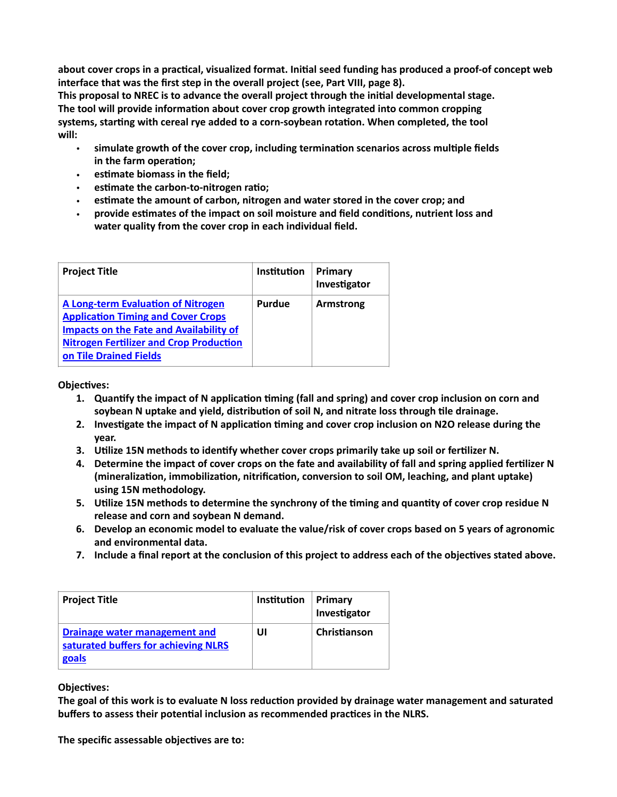**about cover crops in a practical, visualized format. Initial seed funding has produced a proof-of concept web interface that was the first step in the overall project (see, Part VIII, page 8).** 

**This proposal to NREC is to advance the overall project through the initial developmental stage. The tool will provide information about cover crop growth integrated into common cropping systems, starting with cereal rye added to a corn-soybean rotation. When completed, the tool will:**

- **simulate growth of the cover crop, including termination scenarios across multiple fields in the farm operation;**
- **estimate biomass in the field;**
- **estimate the carbon-to-nitrogen ratio;**
- **estimate the amount of carbon, nitrogen and water stored in the cover crop; and**
- **provide estimates of the impact on soil moisture and field conditions, nutrient loss and water quality from the cover crop in each individual field.**

| <b>Project Title</b>                                                                                                                                                                                          | Institution | Primary<br>Investigator |
|---------------------------------------------------------------------------------------------------------------------------------------------------------------------------------------------------------------|-------------|-------------------------|
| A Long-term Evaluation of Nitrogen<br><b>Application Timing and Cover Crops</b><br><b>Impacts on the Fate and Availability of</b><br><b>Nitrogen Fertilizer and Crop Production</b><br>on Tile Drained Fields | Purdue      | Armstrong               |

**Objectives:**

- **1. Quantify the impact of N application timing (fall and spring) and cover crop inclusion on corn and soybean N uptake and yield, distribution of soil N, and nitrate loss through tile drainage.**
- **2. Investigate the impact of N application timing and cover crop inclusion on N2O release during the year.**
- **3. Utilize 15N methods to identify whether cover crops primarily take up soil or fertilizer N.**
- **4. Determine the impact of cover crops on the fate and availability of fall and spring applied fertilizer N (mineralization, immobilization, nitrification, conversion to soil OM, leaching, and plant uptake) using 15N methodology.**
- **5. Utilize 15N methods to determine the synchrony of the timing and quantity of cover crop residue N release and corn and soybean N demand.**
- **6. Develop an economic model to evaluate the value/risk of cover crops based on 5 years of agronomic and environmental data.**
- **7. Include a final report at the conclusion of this project to address each of the objectives stated above.**

| <b>Project Title</b>                                                           | Institution | Primary<br>Investigator |
|--------------------------------------------------------------------------------|-------------|-------------------------|
| Drainage water management and<br>saturated buffers for achieving NLRS<br>goals | UI          | Christianson            |

**Objectives:**

**The goal of this work is to evaluate N loss reduction provided by drainage water management and saturated buffers to assess their potential inclusion as recommended practices in the NLRS.**

**The specific assessable objectives are to:**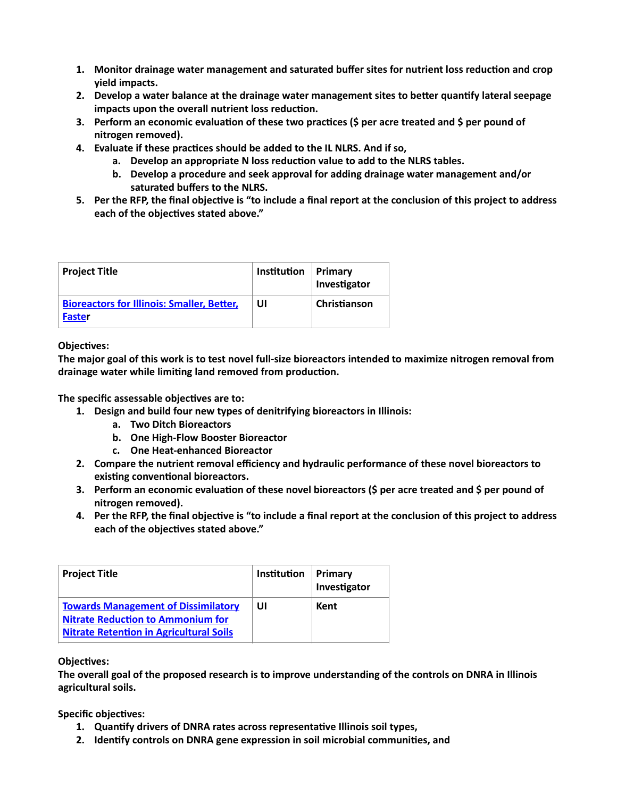- **1. Monitor drainage water management and saturated buffer sites for nutrient loss reduction and crop yield impacts.**
- **2. Develop a water balance at the drainage water management sites to better quantify lateral seepage impacts upon the overall nutrient loss reduction.**
- **3. Perform an economic evaluation of these two practices (\$ per acre treated and \$ per pound of nitrogen removed).**
- **4. Evaluate if these practices should be added to the IL NLRS. And if so,** 
	- **a. Develop an appropriate N loss reduction value to add to the NLRS tables.**
	- **b. Develop a procedure and seek approval for adding drainage water management and/or saturated buffers to the NLRS.**
- **5. Per the RFP, the final objective is "to include a final report at the conclusion of this project to address each of the objectives stated above."**

| <b>Project Title</b>                                               | Institution | Primary<br>Investigator |
|--------------------------------------------------------------------|-------------|-------------------------|
| <b>Bioreactors for Illinois: Smaller, Better,</b><br><b>Faster</b> | UI          | Christianson            |

**The major goal of this work is to test novel full-size bioreactors intended to maximize nitrogen removal from drainage water while limiting land removed from production.**

**The specific assessable objectives are to:**

- **1. Design and build four new types of denitrifying bioreactors in Illinois:**
	- **a. Two Ditch Bioreactors**
	- **b. One High-Flow Booster Bioreactor**
	- **c. One Heat-enhanced Bioreactor**
- **2. Compare the nutrient removal efficiency and hydraulic performance of these novel bioreactors to existing conventional bioreactors.**
- **3. Perform an economic evaluation of these novel bioreactors (\$ per acre treated and \$ per pound of nitrogen removed).**
- **4. Per the RFP, the final objective is "to include a final report at the conclusion of this project to address each of the objectives stated above."**

| <b>Project Title</b>                                                                                                                     | <b>Institution</b> | Primary<br>Investigator |
|------------------------------------------------------------------------------------------------------------------------------------------|--------------------|-------------------------|
| <b>Towards Management of Dissimilatory</b><br><b>Nitrate Reduction to Ammonium for</b><br><b>Nitrate Retention in Agricultural Soils</b> | UI                 | Kent                    |

**Objectives:**

**The overall goal of the proposed research is to improve understanding of the controls on DNRA in Illinois agricultural soils.** 

**Specific objectives:**

- **1. Quantify drivers of DNRA rates across representative Illinois soil types,**
- **2. Identify controls on DNRA gene expression in soil microbial communities, and**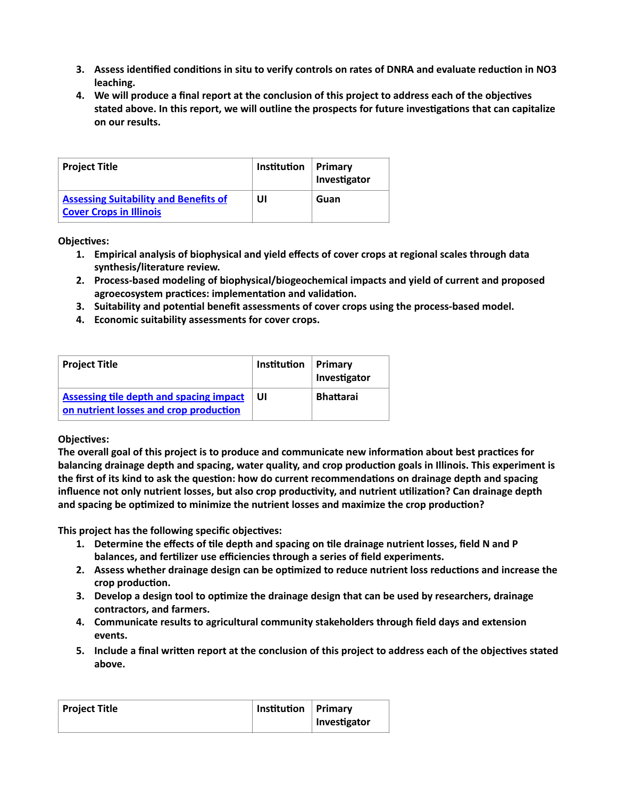- **3. Assess identified conditions in situ to verify controls on rates of DNRA and evaluate reduction in NO3 leaching.**
- **4. We will produce a final report at the conclusion of this project to address each of the objectives stated above. In this report, we will outline the prospects for future investigations that can capitalize on our results.**

| <b>Project Title</b>                                                           | Institution | <b>Primary</b><br>Investigator |
|--------------------------------------------------------------------------------|-------------|--------------------------------|
| <b>Assessing Suitability and Benefits of</b><br><b>Cover Crops in Illinois</b> | UI          | Guan                           |

- **1. Empirical analysis of biophysical and yield effects of cover crops at regional scales through data synthesis/literature review.**
- **2. Process-based modeling of biophysical/biogeochemical impacts and yield of current and proposed agroecosystem practices: implementation and validation.**
- **3. Suitability and potential benefit assessments of cover crops using the process-based model.**
- **4. Economic suitability assessments for cover crops.**

| <b>Project Title</b>                                                                     | <b>Institution</b> | Primary<br>Investigator |
|------------------------------------------------------------------------------------------|--------------------|-------------------------|
| <b>Assessing tile depth and spacing impact</b><br>on nutrient losses and crop production | UI                 | <b>Bhattarai</b>        |

### **Objectives:**

**The overall goal of this project is to produce and communicate new information about best practices for balancing drainage depth and spacing, water quality, and crop production goals in Illinois. This experiment is the first of its kind to ask the question: how do current recommendations on drainage depth and spacing influence not only nutrient losses, but also crop productivity, and nutrient utilization? Can drainage depth and spacing be optimized to minimize the nutrient losses and maximize the crop production?** 

**This project has the following specific objectives:** 

- **1. Determine the effects of tile depth and spacing on tile drainage nutrient losses, field N and P balances, and fertilizer use efficiencies through a series of field experiments.**
- **2. Assess whether drainage design can be optimized to reduce nutrient loss reductions and increase the crop production.**
- **3. Develop a design tool to optimize the drainage design that can be used by researchers, drainage contractors, and farmers.**
- **4. Communicate results to agricultural community stakeholders through field days and extension events.**
- **5. Include a final written report at the conclusion of this project to address each of the objectives stated above.**

| Project Title | Institution Primary |              |
|---------------|---------------------|--------------|
|               |                     | Investigator |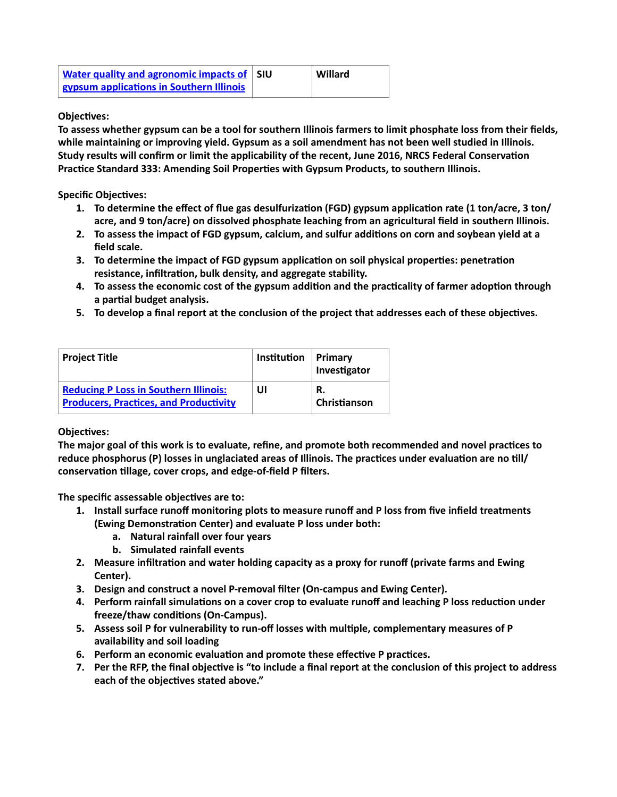| <b>Water quality and agronomic impacts of SIU</b> | Willard |
|---------------------------------------------------|---------|
| gypsum applications in Southern Illinois          |         |

**To assess whether gypsum can be a tool for southern Illinois farmers to limit phosphate loss from their fields, while maintaining or improving yield. Gypsum as a soil amendment has not been well studied in Illinois. Study results will confirm or limit the applicability of the recent, June 2016, NRCS Federal Conservation Practice Standard 333: Amending Soil Properties with Gypsum Products, to southern Illinois.** 

**Specific Objectives:**

- **1. To determine the effect of flue gas desulfurization (FGD) gypsum application rate (1 ton/acre, 3 ton/ acre, and 9 ton/acre) on dissolved phosphate leaching from an agricultural field in southern Illinois.**
- **2. To assess the impact of FGD gypsum, calcium, and sulfur additions on corn and soybean yield at a field scale.**
- **3. To determine the impact of FGD gypsum application on soil physical properties: penetration resistance, infiltration, bulk density, and aggregate stability.**
- **4. To assess the economic cost of the gypsum addition and the practicality of farmer adoption through a partial budget analysis.**
- **5. To develop a final report at the conclusion of the project that addresses each of these objectives.**

| <b>Project Title</b>                                                                          | Institution | Primary<br>Investigator |
|-----------------------------------------------------------------------------------------------|-------------|-------------------------|
| <b>Reducing P Loss in Southern Illinois:</b><br><b>Producers, Practices, and Productivity</b> | UI          | R.<br>Christianson      |

### **Objectives:**

**The major goal of this work is to evaluate, refine, and promote both recommended and novel practices to reduce phosphorus (P) losses in unglaciated areas of Illinois. The practices under evaluation are no till/ conservation tillage, cover crops, and edge-of-field P filters.**

**The specific assessable objectives are to:**

- **1. Install surface runoff monitoring plots to measure runoff and P loss from five infield treatments (Ewing Demonstration Center) and evaluate P loss under both:**
	- **a. Natural rainfall over four years**
	- **b. Simulated rainfall events**
- **2. Measure infiltration and water holding capacity as a proxy for runoff (private farms and Ewing Center).**
- **3. Design and construct a novel P-removal filter (On-campus and Ewing Center).**
- **4. Perform rainfall simulations on a cover crop to evaluate runoff and leaching P loss reduction under freeze/thaw conditions (On-Campus).**
- **5. Assess soil P for vulnerability to run-off losses with multiple, complementary measures of P availability and soil loading**
- **6. Perform an economic evaluation and promote these effective P practices.**
- **7. Per the RFP, the final objective is "to include a final report at the conclusion of this project to address each of the objectives stated above."**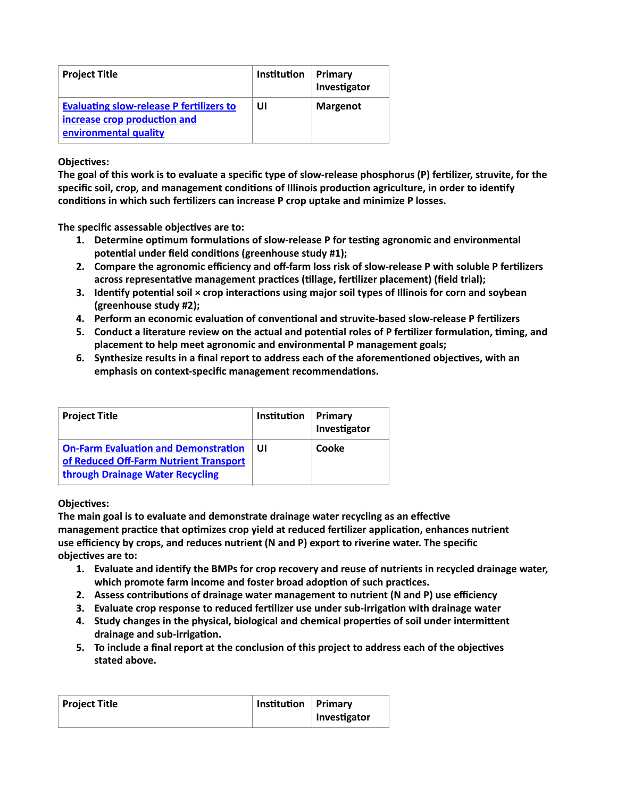| <b>Project Title</b>                                                                                     | Institution | Primary<br>Investigator |
|----------------------------------------------------------------------------------------------------------|-------------|-------------------------|
| <b>Evaluating slow-release P fertilizers to</b><br>increase crop production and<br>environmental quality | UI          | <b>Margenot</b>         |

**The goal of this work is to evaluate a specific type of slow-release phosphorus (P) fertilizer, struvite, for the specific soil, crop, and management conditions of Illinois production agriculture, in order to identify conditions in which such fertilizers can increase P crop uptake and minimize P losses.**

**The specific assessable objectives are to:**

- **1. Determine optimum formulations of slow-release P for testing agronomic and environmental potential under field conditions (greenhouse study #1);**
- **2. Compare the agronomic efficiency and off-farm loss risk of slow-release P with soluble P fertilizers across representative management practices (tillage, fertilizer placement) (field trial);**
- **3. Identify potential soil × crop interactions using major soil types of Illinois for corn and soybean (greenhouse study #2);**
- **4. Perform an economic evaluation of conventional and struvite-based slow-release P fertilizers**
- **5. Conduct a literature review on the actual and potential roles of P fertilizer formulation, timing, and placement to help meet agronomic and environmental P management goals;**
- **6. Synthesize results in a final report to address each of the aforementioned objectives, with an emphasis on context-specific management recommendations.**

| <b>Project Title</b>                                                                                                      | Institution | Primary<br>Investigator |
|---------------------------------------------------------------------------------------------------------------------------|-------------|-------------------------|
| <b>On-Farm Evaluation and Demonstration</b><br>of Reduced Off-Farm Nutrient Transport<br>through Drainage Water Recycling | UI          | Cooke                   |

### **Objectives:**

**The main goal is to evaluate and demonstrate drainage water recycling as an effective management practice that optimizes crop yield at reduced fertilizer application, enhances nutrient use efficiency by crops, and reduces nutrient (N and P) export to riverine water. The specific objectives are to:**

- **1. Evaluate and identify the BMPs for crop recovery and reuse of nutrients in recycled drainage water, which promote farm income and foster broad adoption of such practices.**
- **2. Assess contributions of drainage water management to nutrient (N and P) use efficiency**
- **3. Evaluate crop response to reduced fertilizer use under sub-irrigation with drainage water**
- **4. Study changes in the physical, biological and chemical properties of soil under intermittent drainage and sub-irrigation.**
- **5. To include a final report at the conclusion of this project to address each of the objectives stated above.**

| <b>Project Title</b> | Institution Primary |              |
|----------------------|---------------------|--------------|
|                      |                     | Investigator |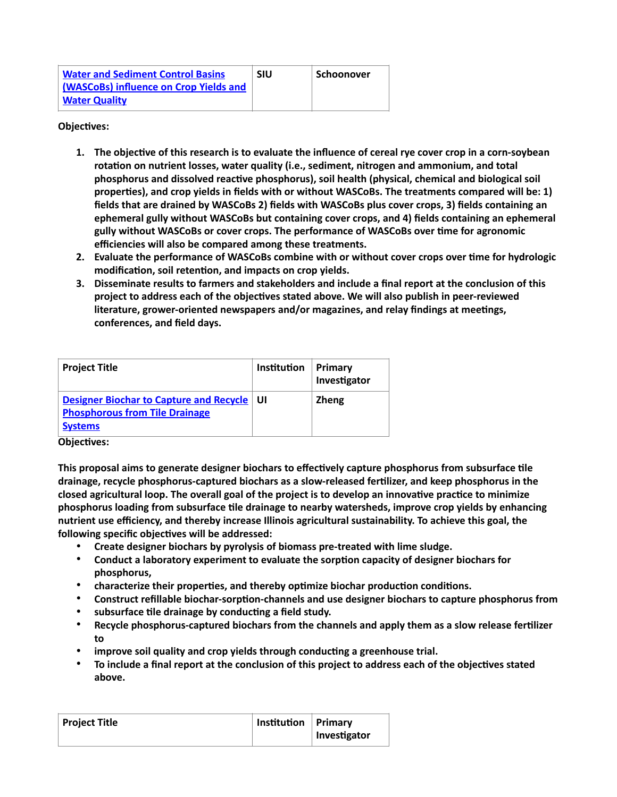| <b>Water and Sediment Control Basins</b> | <b>SIU</b> | Schoonover |
|------------------------------------------|------------|------------|
| (WASCoBs) influence on Crop Yields and   |            |            |
| <b>Water Quality</b>                     |            |            |

- **1. The objective of this research is to evaluate the influence of cereal rye cover crop in a corn-soybean rotation on nutrient losses, water quality (i.e., sediment, nitrogen and ammonium, and total phosphorus and dissolved reactive phosphorus), soil health (physical, chemical and biological soil properties), and crop yields in fields with or without WASCoBs. The treatments compared will be: 1) fields that are drained by WASCoBs 2) fields with WASCoBs plus cover crops, 3) fields containing an ephemeral gully without WASCoBs but containing cover crops, and 4) fields containing an ephemeral gully without WASCoBs or cover crops. The performance of WASCoBs over time for agronomic efficiencies will also be compared among these treatments.**
- **2. Evaluate the performance of WASCoBs combine with or without cover crops over time for hydrologic modification, soil retention, and impacts on crop yields.**
- **3. Disseminate results to farmers and stakeholders and include a final report at the conclusion of this project to address each of the objectives stated above. We will also publish in peer-reviewed literature, grower-oriented newspapers and/or magazines, and relay findings at meetings, conferences, and field days.**

| <b>Project Title</b>                                                                                           | <b>Institution</b> | Primary<br>Investigator |
|----------------------------------------------------------------------------------------------------------------|--------------------|-------------------------|
| <b>Designer Biochar to Capture and Recycle</b><br><b>Phosphorous from Tile Drainage</b><br><b>Systems</b><br>. | -UI                | <b>Zheng</b>            |

### **Objectives:**

**This proposal aims to generate designer biochars to effectively capture phosphorus from subsurface tile drainage, recycle phosphorus-captured biochars as a slow-released fertilizer, and keep phosphorus in the closed agricultural loop. The overall goal of the project is to develop an innovative practice to minimize phosphorus loading from subsurface tile drainage to nearby watersheds, improve crop yields by enhancing nutrient use efficiency, and thereby increase Illinois agricultural sustainability. To achieve this goal, the following specific objectives will be addressed:**

- **Create designer biochars by pyrolysis of biomass pre-treated with lime sludge.**
- **Conduct a laboratory experiment to evaluate the sorption capacity of designer biochars for phosphorus,**
- **characterize their properties, and thereby optimize biochar production conditions.**
- **Construct refillable biochar-sorption-channels and use designer biochars to capture phosphorus from**
- **subsurface tile drainage by conducting a field study.**
- **Recycle phosphorus-captured biochars from the channels and apply them as a slow release fertilizer to**
- **improve soil quality and crop yields through conducting a greenhouse trial.**
- **To include a final report at the conclusion of this project to address each of the objectives stated above.**

| Project Title | Institution   Primary |              |
|---------------|-----------------------|--------------|
|               |                       | Investigator |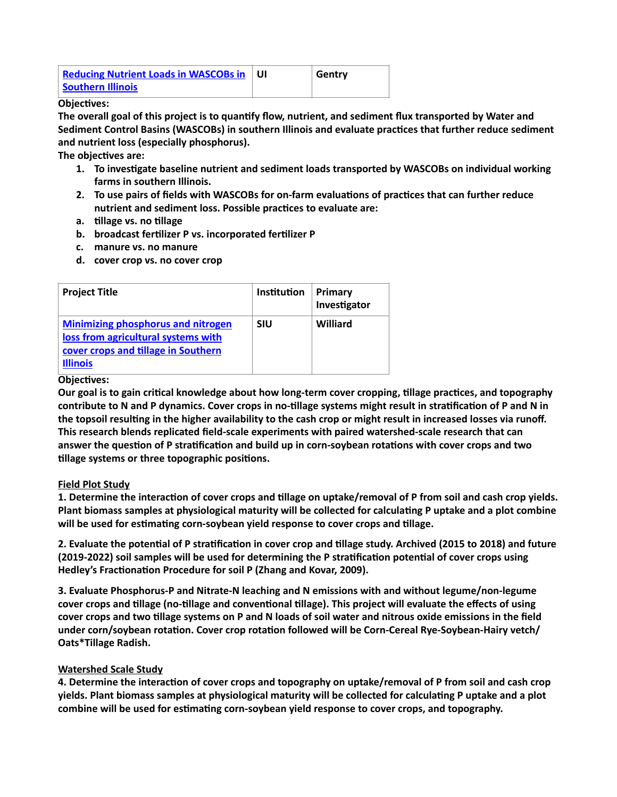| <b>Reducing Nutrient Loads in WASCOBs in</b> | Gentry |
|----------------------------------------------|--------|
| <b>Southern Illinois</b>                     |        |

**The overall goal of this project is to quantify flow, nutrient, and sediment flux transported by Water and Sediment Control Basins (WASCOBs) in southern Illinois and evaluate practices that further reduce sediment and nutrient loss (especially phosphorus).**

**The objectives are:**

- **1. To investigate baseline nutrient and sediment loads transported by WASCOBs on individual working farms in southern Illinois.**
- **2. To use pairs of fields with WASCOBs for on-farm evaluations of practices that can further reduce nutrient and sediment loss. Possible practices to evaluate are:**
- **a. tillage vs. no tillage**
- **b. broadcast fertilizer P vs. incorporated fertilizer P**
- **c. manure vs. no manure**
- **d. cover crop vs. no cover crop**

| <b>Project Title</b>                                                                                                                       | Institution | Primary<br>Investigator |
|--------------------------------------------------------------------------------------------------------------------------------------------|-------------|-------------------------|
| <b>Minimizing phosphorus and nitrogen</b><br>loss from agricultural systems with<br>cover crops and tillage in Southern<br><b>Illinois</b> | <b>SIU</b>  | Williard                |

#### **Objectives:**

**Our goal is to gain critical knowledge about how long-term cover cropping, tillage practices, and topography contribute to N and P dynamics. Cover crops in no-tillage systems might result in stratification of P and N in the topsoil resulting in the higher availability to the cash crop or might result in increased losses via runoff. This research blends replicated field-scale experiments with paired watershed-scale research that can answer the question of P stratification and build up in corn-soybean rotations with cover crops and two tillage systems or three topographic positions.**

### **Field Plot Study**

**1. Determine the interaction of cover crops and tillage on uptake/removal of P from soil and cash crop yields. Plant biomass samples at physiological maturity will be collected for calculating P uptake and a plot combine will be used for estimating corn-soybean yield response to cover crops and tillage.** 

**2. Evaluate the potential of P stratification in cover crop and tillage study. Archived (2015 to 2018) and future (2019-2022) soil samples will be used for determining the P stratification potential of cover crops using Hedley's Fractionation Procedure for soil P (Zhang and Kovar, 2009).** 

**3. Evaluate Phosphorus-P and Nitrate-N leaching and N emissions with and without legume/non-legume cover crops and tillage (no-tillage and conventional tillage). This project will evaluate the effects of using cover crops and two tillage systems on P and N loads of soil water and nitrous oxide emissions in the field under corn/soybean rotation. Cover crop rotation followed will be Corn-Cereal Rye-Soybean-Hairy vetch/ Oats\*Tillage Radish.** 

### **Watershed Scale Study**

**4. Determine the interaction of cover crops and topography on uptake/removal of P from soil and cash crop yields. Plant biomass samples at physiological maturity will be collected for calculating P uptake and a plot combine will be used for estimating corn-soybean yield response to cover crops, and topography.**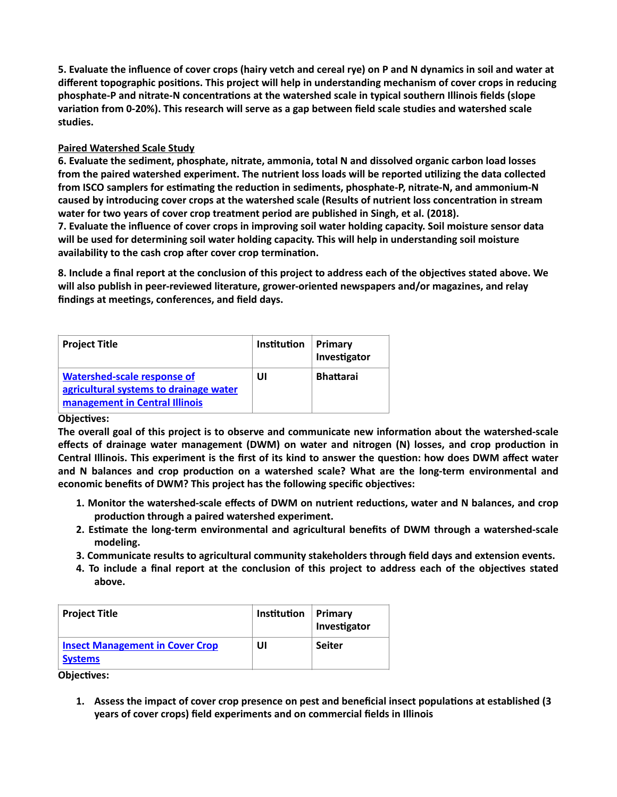**5. Evaluate the influence of cover crops (hairy vetch and cereal rye) on P and N dynamics in soil and water at different topographic positions. This project will help in understanding mechanism of cover crops in reducing phosphate-P and nitrate-N concentrations at the watershed scale in typical southern Illinois fields (slope variation from 0-20%). This research will serve as a gap between field scale studies and watershed scale studies.** 

# **Paired Watershed Scale Study**

**6. Evaluate the sediment, phosphate, nitrate, ammonia, total N and dissolved organic carbon load losses from the paired watershed experiment. The nutrient loss loads will be reported utilizing the data collected from ISCO samplers for estimating the reduction in sediments, phosphate-P, nitrate-N, and ammonium-N caused by introducing cover crops at the watershed scale (Results of nutrient loss concentration in stream water for two years of cover crop treatment period are published in Singh, et al. (2018).** 

**7. Evaluate the influence of cover crops in improving soil water holding capacity. Soil moisture sensor data will be used for determining soil water holding capacity. This will help in understanding soil moisture availability to the cash crop after cover crop termination.** 

**8. Include a final report at the conclusion of this project to address each of the objectives stated above. We will also publish in peer-reviewed literature, grower-oriented newspapers and/or magazines, and relay findings at meetings, conferences, and field days.** 

| <b>Project Title</b>                                                                                           | Institution | Primary<br>Investigator |
|----------------------------------------------------------------------------------------------------------------|-------------|-------------------------|
| <b>Watershed-scale response of</b><br>agricultural systems to drainage water<br>management in Central Illinois | UI          | <b>Bhattarai</b>        |

### **Objectives:**

**The overall goal of this project is to observe and communicate new information about the watershed-scale effects of drainage water management (DWM) on water and nitrogen (N) losses, and crop production in Central Illinois. This experiment is the first of its kind to answer the question: how does DWM affect water and N balances and crop production on a watershed scale? What are the long-term environmental and economic benefits of DWM? This project has the following specific objectives:** 

- **1. Monitor the watershed-scale effects of DWM on nutrient reductions, water and N balances, and crop production through a paired watershed experiment.**
- **2. Estimate the long-term environmental and agricultural benefits of DWM through a watershed-scale modeling.**
- **3. Communicate results to agricultural community stakeholders through field days and extension events.**
- **4. To include a final report at the conclusion of this project to address each of the objectives stated above.**

| <b>Project Title</b>                                     | Institution | Primary<br>Investigator |
|----------------------------------------------------------|-------------|-------------------------|
| <b>Insect Management in Cover Crop</b><br><b>Systems</b> | UI          | <b>Seiter</b>           |

**Objectives:**

**1. Assess the impact of cover crop presence on pest and beneficial insect populations at established (3 years of cover crops) field experiments and on commercial fields in Illinois**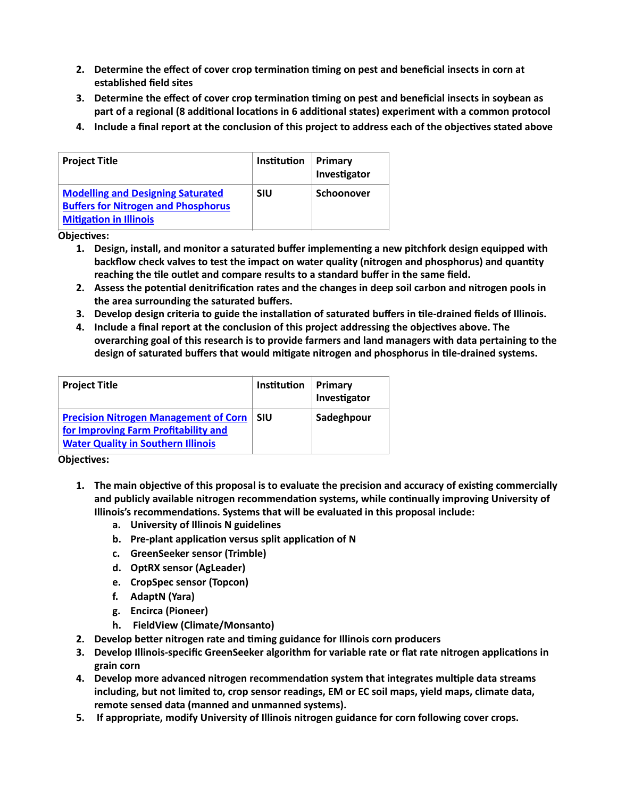- **2. Determine the effect of cover crop termination timing on pest and beneficial insects in corn at established field sites**
- **3. Determine the effect of cover crop termination timing on pest and beneficial insects in soybean as part of a regional (8 additional locations in 6 additional states) experiment with a common protocol**
- **4. Include a final report at the conclusion of this project to address each of the objectives stated above**

| <b>Project Title</b>                                                                                                    | Institution | Primary<br>Investigator |
|-------------------------------------------------------------------------------------------------------------------------|-------------|-------------------------|
| <b>Modelling and Designing Saturated</b><br><b>Buffers for Nitrogen and Phosphorus</b><br><b>Mitigation in Illinois</b> | <b>SIU</b>  | <b>Schoonover</b>       |

- **1. Design, install, and monitor a saturated buffer implementing a new pitchfork design equipped with backflow check valves to test the impact on water quality (nitrogen and phosphorus) and quantity reaching the tile outlet and compare results to a standard buffer in the same field.**
- **2. Assess the potential denitrification rates and the changes in deep soil carbon and nitrogen pools in the area surrounding the saturated buffers.**
- **3. Develop design criteria to guide the installation of saturated buffers in tile-drained fields of Illinois.**
- **4. Include a final report at the conclusion of this project addressing the objectives above. The overarching goal of this research is to provide farmers and land managers with data pertaining to the design of saturated buffers that would mitigate nitrogen and phosphorus in tile-drained systems.**

| <b>Project Title</b>                                                                                                              | Institution | Primary<br>Investigator |
|-----------------------------------------------------------------------------------------------------------------------------------|-------------|-------------------------|
| <b>Precision Nitrogen Management of Corn</b><br>for Improving Farm Profitability and<br><b>Water Quality in Southern Illinois</b> | <b>SIU</b>  | Sadeghpour              |

**Objectives:**

- **1. The main objective of this proposal is to evaluate the precision and accuracy of existing commercially and publicly available nitrogen recommendation systems, while continually improving University of Illinois's recommendations. Systems that will be evaluated in this proposal include:** 
	- **a. University of Illinois N guidelines**
	- **b. Pre-plant application versus split application of N**
	- **c. GreenSeeker sensor (Trimble)**
	- **d. OptRX sensor (AgLeader)**
	- **e. CropSpec sensor (Topcon)**
	- **f. AdaptN (Yara)**
	- **g. Encirca (Pioneer)**
	- **h. FieldView (Climate/Monsanto)**
- **2. Develop better nitrogen rate and timing guidance for Illinois corn producers**
- **3. Develop Illinois-specific GreenSeeker algorithm for variable rate or flat rate nitrogen applications in grain corn**
- **4. Develop more advanced nitrogen recommendation system that integrates multiple data streams including, but not limited to, crop sensor readings, EM or EC soil maps, yield maps, climate data, remote sensed data (manned and unmanned systems).**
- **5. If appropriate, modify University of Illinois nitrogen guidance for corn following cover crops.**